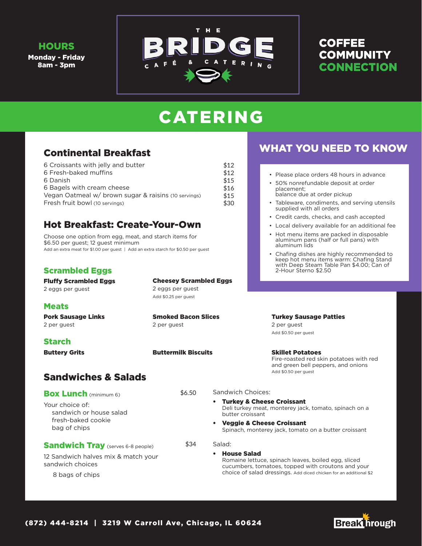#### **HOURS**

Monday - Friday 8am - 3pm



## **COFFEE COMMUNITY CONNECTION**

# CATERING

## Continental Breakfast

| 6 Croissants with jelly and butter                   | \$12 |
|------------------------------------------------------|------|
| 6 Fresh-baked muffins                                | \$12 |
| 6 Danish                                             | \$15 |
| 6 Bagels with cream cheese                           | \$16 |
| Vegan Oatmeal w/ brown sugar & raisins (10 servings) | \$15 |
| Fresh fruit bowl (10 servings)                       | \$30 |

## Hot Breakfast: Create-Your-Own

Choose one option from egg, meat, and starch items for \$6.50 per guest; 12 guest minimum Add an extra meat for \$1.00 per guest | Add an extra starch for \$0.50 per guest

#### Scrambled Eggs

Fluffy Scrambled Eggs

2 eggs per guest

#### **Meats**

Pork Sausage Links 2 per guest

#### Starch

Buttery Grits

## Sandwiches & Salads

| <b>Box Lunch (minimum 6)</b>                                                     | \$6.50 | Sandwich Choices:                                                                                             |
|----------------------------------------------------------------------------------|--------|---------------------------------------------------------------------------------------------------------------|
| Your choice of:<br>sandwich or house salad<br>fresh-baked cookie<br>bag of chips |        | • Turkey & Cheese Croissant<br>Deli turkey meat, monterey jack, tomato, sp<br>butter croissant                |
|                                                                                  |        | • Veggie & Cheese Croissant<br>Spinach, monterey jack, tomato on a butter                                     |
| <b>Sandwich Tray</b> (serves 6-8 people)                                         | \$34   | Salad:                                                                                                        |
| 12 Sandwich halves mix & match your<br>sandwich choices                          |        | <b>House Salad</b><br>Romaine lettuce, spinach leaves, boiled ego<br>cucumbers, tomatoes, topped with croutor |
| 8 bags of chips                                                                  |        | choice of salad dressings. Add diced chicken for                                                              |

Cheesey Scrambled Eggs

2 eggs per guest Add \$0.25 per guest

2 per guest

Buttermilk Biscuits

Smoked Bacon Slices

## WHAT YOU NEED TO KNOW

- Please place orders 48 hours in advance
- 50% nonrefundable deposit at order placement; balance due at order pickup
- Tableware, condiments, and serving utensils supplied with all orders
- Credit cards, checks, and cash accepted
- Local delivery available for an additional fee
- Hot menu items are packed in disposable aluminum pans (half or full pans) with aluminum lids
- Chafing dishes are highly recommended to keep hot menu items warm: Chafing Stand with Deep Steam Table Pan \$4.00; Can of 2-Hour Sterno \$2.50

Turkey Sausage Patties 2 per guest

Add \$0.50 per guest

Skillet Potatoes Fire-roasted red skin potatoes with red and green bell peppers, and onions Add \$0.50 per guest

pinach on a

r croissant

g, sliced ns and your choice of salad dressings. Add diced chicken for an additional \$2